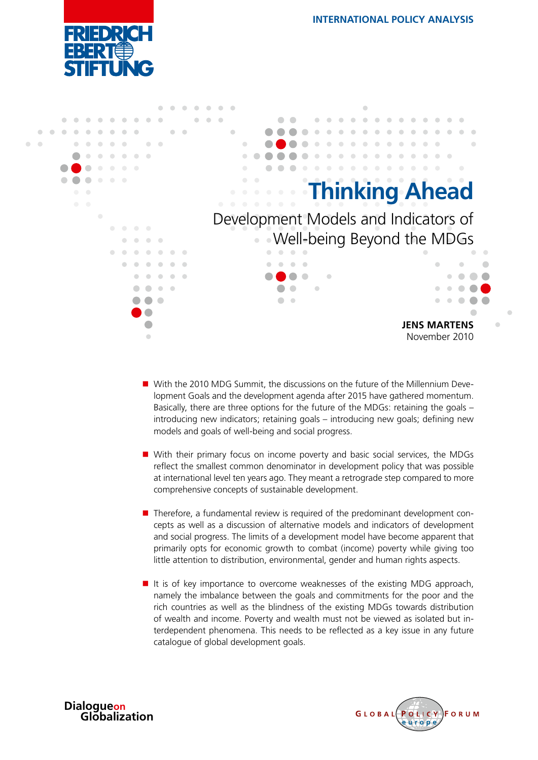



- With the 2010 MDG Summit, the discussions on the future of the Millennium Development Goals and the development agenda after 2015 have gathered momentum. Basically, there are three options for the future of the MDGs: retaining the goals – introducing new indicators; retaining goals – introducing new goals; defining new models and goals of well-being and social progress.
- With their primary focus on income poverty and basic social services, the MDGs reflect the smallest common denominator in development policy that was possible at international level ten years ago. They meant a retrograde step compared to more comprehensive concepts of sustainable development.
- $\blacksquare$  Therefore, a fundamental review is required of the predominant development concepts as well as a discussion of alternative models and indicators of development and social progress. The limits of a development model have become apparent that primarily opts for economic growth to combat (income) poverty while giving too little attention to distribution, environmental, gender and human rights aspects.
- $\blacksquare$  It is of key importance to overcome weaknesses of the existing MDG approach, namely the imbalance between the goals and commitments for the poor and the rich countries as well as the blindness of the existing MDGs towards distribution of wealth and income. Poverty and wealth must not be viewed as isolated but interdependent phenomena. This needs to be reflected as a key issue in any future catalogue of global development goals.



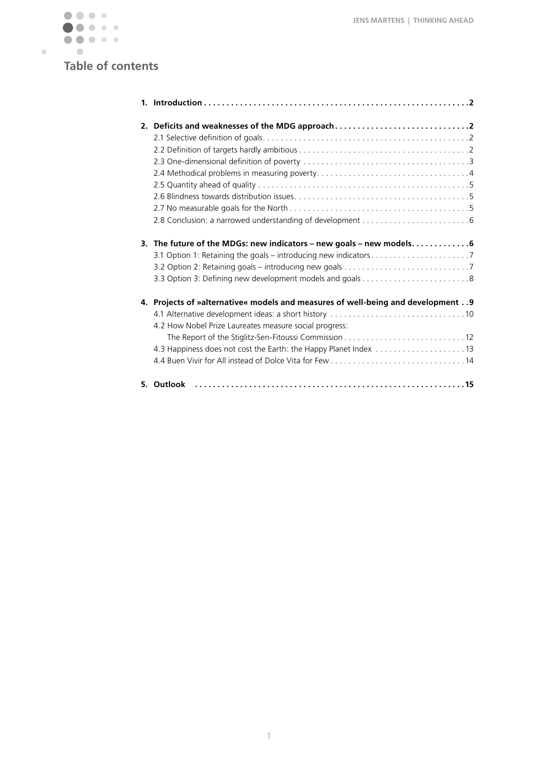

# **Table of contents**

| 2. Deficits and weaknesses of the MDG approach                                                                                             |
|--------------------------------------------------------------------------------------------------------------------------------------------|
| 3. The future of the MDGs: new indicators - new goals - new models. 6                                                                      |
| 4. Projects of »alternative« models and measures of well-being and development 9<br>4.2 How Nobel Prize Laureates measure social progress: |
| 5. Outlook                                                                                                                                 |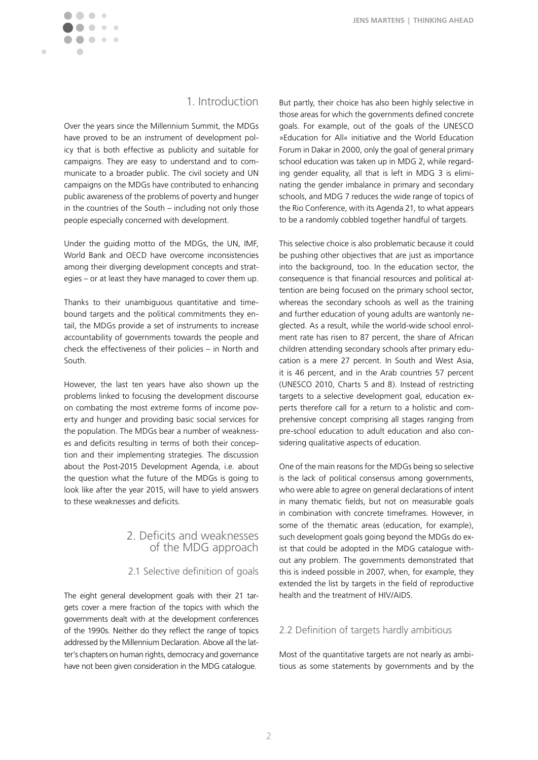

# 1. Introduction

Over the years since the Millennium Summit, the MDGs have proved to be an instrument of development policy that is both effective as publicity and suitable for campaigns. They are easy to understand and to communicate to a broader public. The civil society and UN campaigns on the MDGs have contributed to enhancing public awareness of the problems of poverty and hunger in the countries of the South – including not only those people especially concerned with development.

Under the guiding motto of the MDGs, the UN, IMF, World Bank and OECD have overcome inconsistencies among their diverging development concepts and strategies – or at least they have managed to cover them up.

Thanks to their unambiguous quantitative and timebound targets and the political commitments they entail, the MDGs provide a set of instruments to increase accountability of governments towards the people and check the effectiveness of their policies – in North and South.

However, the last ten years have also shown up the problems linked to focusing the development discourse on combating the most extreme forms of income poverty and hunger and providing basic social services for the population. The MDGs bear a number of weaknesses and deficits resulting in terms of both their conception and their implementing strategies. The discussion about the Post-2015 Development Agenda, i.e. about the question what the future of the MDGs is going to look like after the year 2015, will have to yield answers to these weaknesses and deficits.

# 2. Deficits and weaknesses of the MDG approach

### 2.1 Selective definition of goals

The eight general development goals with their 21 targets cover a mere fraction of the topics with which the governments dealt with at the development conferences of the 1990s. Neither do they reflect the range of topics addressed by the Millennium Declaration. Above all the latter's chapters on human rights, democracy and governance have not been given consideration in the MDG catalogue.

But partly, their choice has also been highly selective in those areas for which the governments defined concrete goals. For example, out of the goals of the UNESCO »Education for All« initiative and the World Education Forum in Dakar in 2000, only the goal of general primary school education was taken up in MDG 2, while regarding gender equality, all that is left in MDG 3 is eliminating the gender imbalance in primary and secondary schools, and MDG 7 reduces the wide range of topics of the Rio Conference, with its Agenda 21, to what appears to be a randomly cobbled together handful of targets.

This selective choice is also problematic because it could be pushing other objectives that are just as importance into the background, too. In the education sector, the consequence is that financial resources and political attention are being focused on the primary school sector, whereas the secondary schools as well as the training and further education of young adults are wantonly neglected. As a result, while the world-wide school enrolment rate has risen to 87 percent, the share of African children attending secondary schools after primary education is a mere 27 percent. In South and West Asia, it is 46 percent, and in the Arab countries 57 percent (UNESCO 2010, Charts 5 and 8). Instead of restricting targets to a selective development goal, education experts therefore call for a return to a holistic and comprehensive concept comprising all stages ranging from pre-school education to adult education and also considering qualitative aspects of education.

One of the main reasons for the MDGs being so selective is the lack of political consensus among governments, who were able to agree on general declarations of intent in many thematic fields, but not on measurable goals in combination with concrete timeframes. However, in some of the thematic areas (education, for example), such development goals going beyond the MDGs do exist that could be adopted in the MDG catalogue without any problem. The governments demonstrated that this is indeed possible in 2007, when, for example, they extended the list by targets in the field of reproductive health and the treatment of HIV/AIDS.

### 2.2 Definition of targets hardly ambitious

Most of the quantitative targets are not nearly as ambitious as some statements by governments and by the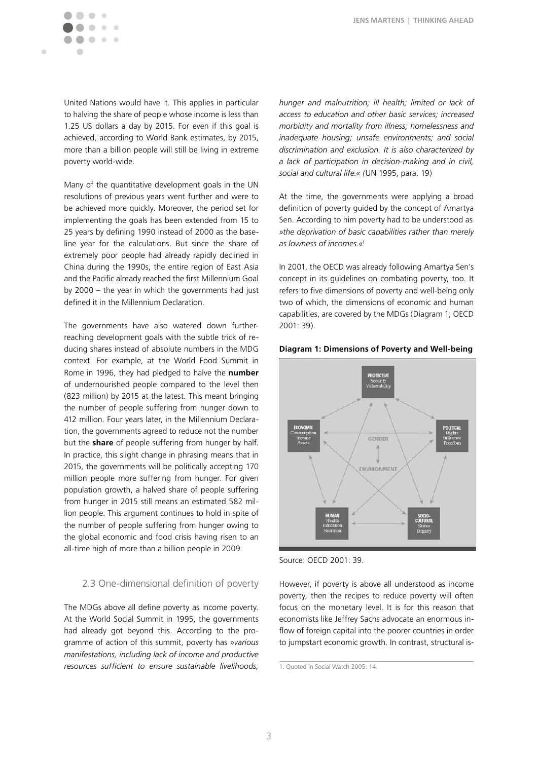$\blacksquare$ 

United Nations would have it. This applies in particular to halving the share of people whose income is less than 1.25 US dollars a day by 2015. For even if this goal is achieved, according to World Bank estimates, by 2015, more than a billion people will still be living in extreme poverty world-wide.

Many of the quantitative development goals in the UN resolutions of previous years went further and were to be achieved more quickly. Moreover, the period set for implementing the goals has been extended from 15 to 25 years by defining 1990 instead of 2000 as the baseline year for the calculations. But since the share of extremely poor people had already rapidly declined in China during the 1990s, the entire region of East Asia and the Pacific already reached the first Millennium Goal by 2000 – the year in which the governments had just defined it in the Millennium Declaration.

The governments have also watered down furtherreaching development goals with the subtle trick of reducing shares instead of absolute numbers in the MDG context. For example, at the World Food Summit in Rome in 1996, they had pledged to halve the **number** of undernourished people compared to the level then (823 million) by 2015 at the latest. This meant bringing the number of people suffering from hunger down to 412 million. Four years later, in the Millennium Declaration, the governments agreed to reduce not the number but the **share** of people suffering from hunger by half. In practice, this slight change in phrasing means that in 2015, the governments will be politically accepting 170 million people more suffering from hunger. For given population growth, a halved share of people suffering from hunger in 2015 still means an estimated 582 million people. This argument continues to hold in spite of the number of people suffering from hunger owing to the global economic and food crisis having risen to an all-time high of more than a billion people in 2009.

## 2.3 One-dimensional definition of poverty

The MDGs above all define poverty as income poverty. At the World Social Summit in 1995, the governments had already got beyond this. According to the programme of action of this summit, poverty has *»various manifestations, including lack of income and productive resources sufficient to ensure sustainable livelihoods;*  *hunger and malnutrition; ill health; limited or lack of access to education and other basic services; increased morbidity and mortality from illness; homelessness and inadequate housing; unsafe environments; and social discrimination and exclusion. It is also characterized by a lack of participation in decision-making and in civil, social and cultural life.« (*UN 1995, para. 19)

At the time, the governments were applying a broad definition of poverty guided by the concept of Amartya Sen. According to him poverty had to be understood as *»the deprivation of basic capabilities rather than merely as lowness of incomes.«1*

In 2001, the OECD was already following Amartya Sen's concept in its guidelines on combating poverty, too. It refers to five dimensions of poverty and well-being only two of which, the dimensions of economic and human capabilities, are covered by the MDGs (Diagram 1; OECD 2001: 39).

#### **Diagram 1: Dimensions of Poverty and Well-being**



Source: OECD 2001: 39.

However, if poverty is above all understood as income poverty, then the recipes to reduce poverty will often focus on the monetary level. It is for this reason that economists like Jeffrey Sachs advocate an enormous inflow of foreign capital into the poorer countries in order to jumpstart economic growth. In contrast, structural is-

<sup>1.</sup> Quoted in Social Watch 2005: 14.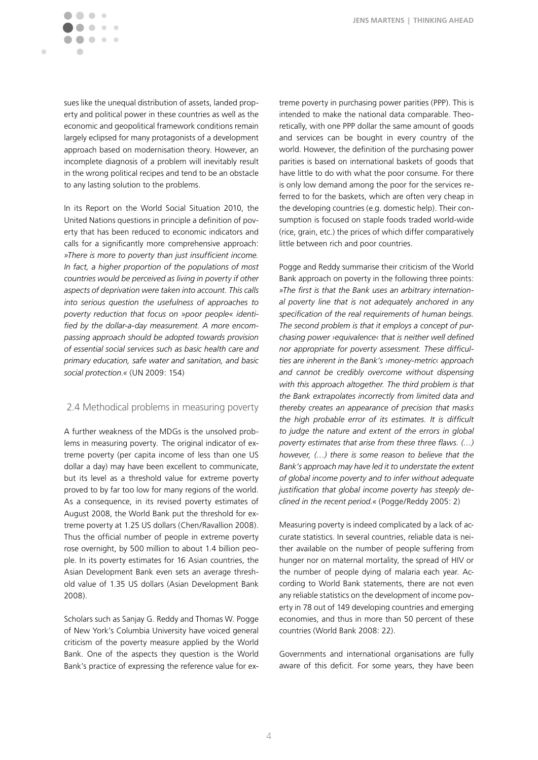sues like the unequal distribution of assets, landed property and political power in these countries as well as the economic and geopolitical framework conditions remain largely eclipsed for many protagonists of a development approach based on modernisation theory. However, an incomplete diagnosis of a problem will inevitably result in the wrong political recipes and tend to be an obstacle to any lasting solution to the problems.

 $\begin{array}{ccc} \bullet & \bullet & \bullet \\ \bullet & \bullet & \bullet \end{array}$  $\begin{array}{c} \begin{array}{c} \begin{array}{c} \end{array} \end{array} \end{array}$  $\bullet$   $\bullet$ 

 $\bullet\bullet\bullet$ 

 $\sqrt{2}$ 

Ċ

In its Report on the World Social Situation 2010, the United Nations questions in principle a definition of poverty that has been reduced to economic indicators and calls for a significantly more comprehensive approach: *»There is more to poverty than just insufficient income. In fact, a higher proportion of the populations of most countries would be perceived as living in poverty if other aspects of deprivation were taken into account. This calls into serious question the usefulness of approaches to poverty reduction that focus on »poor people« identified by the dollar-a-day measurement. A more encompassing approach should be adopted towards provision of essential social services such as basic health care and primary education, safe water and sanitation, and basic social protection.«* (UN 2009: 154)

### 2.4 Methodical problems in measuring poverty

A further weakness of the MDGs is the unsolved problems in measuring poverty. The original indicator of extreme poverty (per capita income of less than one US dollar a day) may have been excellent to communicate, but its level as a threshold value for extreme poverty proved to by far too low for many regions of the world. As a consequence, in its revised poverty estimates of August 2008, the World Bank put the threshold for extreme poverty at 1.25 US dollars (Chen/Ravallion 2008). Thus the official number of people in extreme poverty rose overnight, by 500 million to about 1.4 billion people. In its poverty estimates for 16 Asian countries, the Asian Development Bank even sets an average threshold value of 1.35 US dollars (Asian Development Bank 2008).

Scholars such as Sanjay G. Reddy and Thomas W. Pogge of New York's Columbia University have voiced general criticism of the poverty measure applied by the World Bank. One of the aspects they question is the World Bank's practice of expressing the reference value for ex-

treme poverty in purchasing power parities (PPP). This is intended to make the national data comparable. Theoretically, with one PPP dollar the same amount of goods and services can be bought in every country of the world. However, the definition of the purchasing power parities is based on international baskets of goods that have little to do with what the poor consume. For there is only low demand among the poor for the services referred to for the baskets, which are often very cheap in the developing countries (e.g. domestic help). Their consumption is focused on staple foods traded world-wide (rice, grain, etc.) the prices of which differ comparatively little between rich and poor countries.

Pogge and Reddy summarise their criticism of the World Bank approach on poverty in the following three points: *»The first is that the Bank uses an arbitrary international poverty line that is not adequately anchored in any specification of the real requirements of human beings. The second problem is that it employs a concept of purchasing power ›equivalence‹ that is neither well defined nor appropriate for poverty assessment. These difficulties are inherent in the Bank's ›money-metric‹ approach and cannot be credibly overcome without dispensing with this approach altogether. The third problem is that the Bank extrapolates incorrectly from limited data and thereby creates an appearance of precision that masks the high probable error of its estimates. It is difficult to judge the nature and extent of the errors in global poverty estimates that arise from these three flaws. (…) however, (…) there is some reason to believe that the Bank's approach may have led it to understate the extent of global income poverty and to infer without adequate justification that global income poverty has steeply declined in the recent period.«* (Pogge/Reddy 2005: 2)

Measuring poverty is indeed complicated by a lack of accurate statistics. In several countries, reliable data is neither available on the number of people suffering from hunger nor on maternal mortality, the spread of HIV or the number of people dying of malaria each year. According to World Bank statements, there are not even any reliable statistics on the development of income poverty in 78 out of 149 developing countries and emerging economies, and thus in more than 50 percent of these countries (World Bank 2008: 22).

Governments and international organisations are fully aware of this deficit. For some years, they have been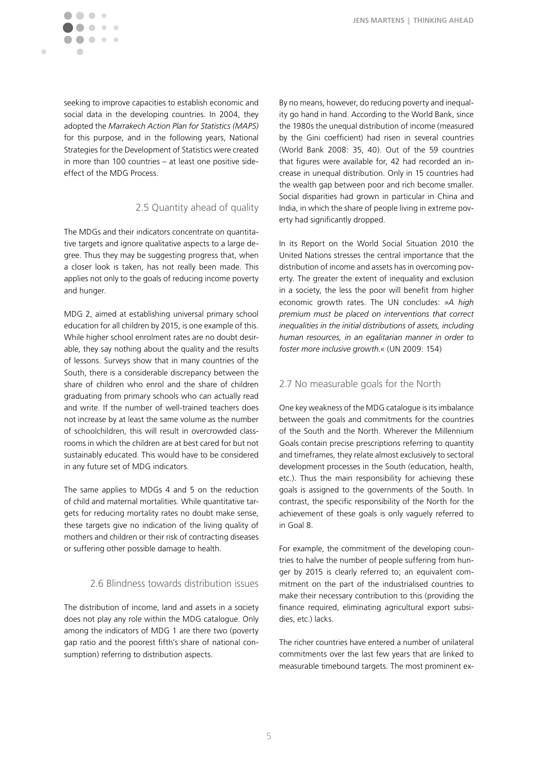

seeking to improve capacities to establish economic and social data in the developing countries. In 2004, they adopted the *Marrakech Action Plan for Statistics (MAPS)*  for this purpose, and in the following years, National Strategies for the Development of Statistics were created in more than 100 countries – at least one positive sideeffect of the MDG Process.

# 2.5 Quantity ahead of quality

The MDGs and their indicators concentrate on quantitative targets and ignore qualitative aspects to a large degree. Thus they may be suggesting progress that, when a closer look is taken, has not really been made. This applies not only to the goals of reducing income poverty and hunger.

MDG 2, aimed at establishing universal primary school education for all children by 2015, is one example of this. While higher school enrolment rates are no doubt desirable, they say nothing about the quality and the results of lessons. Surveys show that in many countries of the South, there is a considerable discrepancy between the share of children who enrol and the share of children graduating from primary schools who can actually read and write. If the number of well-trained teachers does not increase by at least the same volume as the number of schoolchildren, this will result in overcrowded classrooms in which the children are at best cared for but not sustainably educated. This would have to be considered in any future set of MDG indicators.

The same applies to MDGs 4 and 5 on the reduction of child and maternal mortalities. While quantitative targets for reducing mortality rates no doubt make sense, these targets give no indication of the living quality of mothers and children or their risk of contracting diseases or suffering other possible damage to health.

#### 2.6 Blindness towards distribution issues

The distribution of income, land and assets in a society does not play any role within the MDG catalogue. Only among the indicators of MDG 1 are there two (poverty gap ratio and the poorest fifth's share of national consumption) referring to distribution aspects.

By no means, however, do reducing poverty and inequality go hand in hand. According to the World Bank, since the 1980s the unequal distribution of income (measured by the Gini coefficient) had risen in several countries (World Bank 2008: 35, 40). Out of the 59 countries that figures were available for, 42 had recorded an increase in unequal distribution. Only in 15 countries had the wealth gap between poor and rich become smaller. Social disparities had grown in particular in China and India, in which the share of people living in extreme poverty had significantly dropped.

In its Report on the World Social Situation 2010 the United Nations stresses the central importance that the distribution of income and assets has in overcoming poverty. The greater the extent of inequality and exclusion in a society, the less the poor will benefit from higher economic growth rates. The UN concludes: *»A high premium must be placed on interventions that correct inequalities in the initial distributions of assets, including human resources, in an egalitarian manner in order to foster more inclusive growth.«* (UN 2009: 154)

## 2.7 No measurable goals for the North

One key weakness of the MDG catalogue is its imbalance between the goals and commitments for the countries of the South and the North. Wherever the Millennium Goals contain precise prescriptions referring to quantity and timeframes, they relate almost exclusively to sectoral development processes in the South (education, health, etc.). Thus the main responsibility for achieving these goals is assigned to the governments of the South. In contrast, the specific responsibility of the North for the achievement of these goals is only vaguely referred to in Goal 8.

For example, the commitment of the developing countries to halve the number of people suffering from hunger by 2015 is clearly referred to; an equivalent commitment on the part of the industrialised countries to make their necessary contribution to this (providing the finance required, eliminating agricultural export subsidies, etc.) lacks.

The richer countries have entered a number of unilateral commitments over the last few years that are linked to measurable timebound targets. The most prominent ex-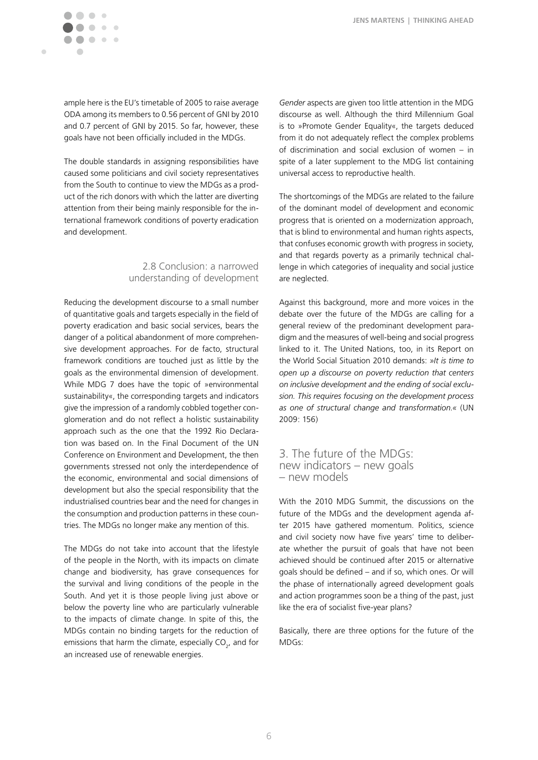ample here is the EU's timetable of 2005 to raise average ODA among its members to 0.56 percent of GNI by 2010 and 0.7 percent of GNI by 2015. So far, however, these goals have not been officially included in the MDGs.

The double standards in assigning responsibilities have caused some politicians and civil society representatives from the South to continue to view the MDGs as a product of the rich donors with which the latter are diverting attention from their being mainly responsible for the international framework conditions of poverty eradication and development.

## 2.8 Conclusion: a narrowed understanding of development

Reducing the development discourse to a small number of quantitative goals and targets especially in the field of poverty eradication and basic social services, bears the danger of a political abandonment of more comprehensive development approaches. For de facto, structural framework conditions are touched just as little by the goals as the environmental dimension of development. While MDG 7 does have the topic of »environmental sustainability«, the corresponding targets and indicators give the impression of a randomly cobbled together conglomeration and do not reflect a holistic sustainability approach such as the one that the 1992 Rio Declaration was based on. In the Final Document of the UN Conference on Environment and Development, the then governments stressed not only the interdependence of the economic, environmental and social dimensions of development but also the special responsibility that the industrialised countries bear and the need for changes in the consumption and production patterns in these countries. The MDGs no longer make any mention of this.

The MDGs do not take into account that the lifestyle of the people in the North, with its impacts on climate change and biodiversity, has grave consequences for the survival and living conditions of the people in the South. And yet it is those people living just above or below the poverty line who are particularly vulnerable to the impacts of climate change. In spite of this, the MDGs contain no binding targets for the reduction of emissions that harm the climate, especially  $\mathsf{CO}_{2}$ , and for an increased use of renewable energies.

*Gender* aspects are given too little attention in the MDG discourse as well. Although the third Millennium Goal is to »Promote Gender Equality«, the targets deduced from it do not adequately reflect the complex problems of discrimination and social exclusion of women – in spite of a later supplement to the MDG list containing universal access to reproductive health.

The shortcomings of the MDGs are related to the failure of the dominant model of development and economic progress that is oriented on a modernization approach, that is blind to environmental and human rights aspects, that confuses economic growth with progress in society, and that regards poverty as a primarily technical challenge in which categories of inequality and social justice are neglected.

Against this background, more and more voices in the debate over the future of the MDGs are calling for a general review of the predominant development paradigm and the measures of well-being and social progress linked to it. The United Nations, too, in its Report on the World Social Situation 2010 demands: *»It is time to open up a discourse on poverty reduction that centers on inclusive development and the ending of social exclusion. This requires focusing on the development process as one of structural change and transformation.«* (UN 2009: 156)

# 3. The future of the MDGs: new indicators – new goals – new models

With the 2010 MDG Summit, the discussions on the future of the MDGs and the development agenda after 2015 have gathered momentum. Politics, science and civil society now have five years' time to deliberate whether the pursuit of goals that have not been achieved should be continued after 2015 or alternative goals should be defined – and if so, which ones. Or will the phase of internationally agreed development goals and action programmes soon be a thing of the past, just like the era of socialist five-year plans?

Basically, there are three options for the future of the MDGs: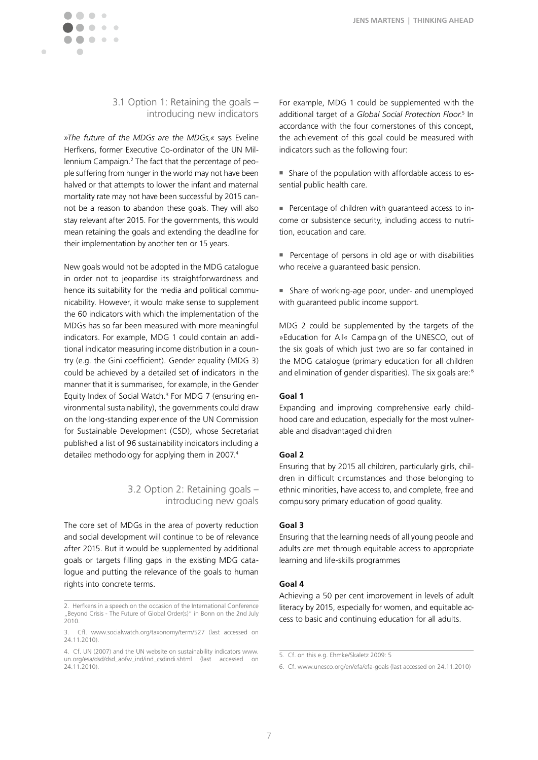

 $\blacksquare$ 

## 3.1 Option 1: Retaining the goals – introducing new indicators

*»The future of the MDGs are the MDGs,«* says Eveline Herfkens, former Executive Co-ordinator of the UN Millennium Campaign.<sup>2</sup> The fact that the percentage of people suffering from hunger in the world may not have been halved or that attempts to lower the infant and maternal mortality rate may not have been successful by 2015 cannot be a reason to abandon these goals. They will also stay relevant after 2015. For the governments, this would mean retaining the goals and extending the deadline for their implementation by another ten or 15 years.

New goals would not be adopted in the MDG catalogue in order not to jeopardise its straightforwardness and hence its suitability for the media and political communicability. However, it would make sense to supplement the 60 indicators with which the implementation of the MDGs has so far been measured with more meaningful indicators. For example, MDG 1 could contain an additional indicator measuring income distribution in a country (e.g. the Gini coefficient). Gender equality (MDG 3) could be achieved by a detailed set of indicators in the manner that it is summarised, for example, in the Gender Equity Index of Social Watch.<sup>3</sup> For MDG 7 (ensuring environmental sustainability), the governments could draw on the long-standing experience of the UN Commission for Sustainable Development (CSD), whose Secretariat published a list of 96 sustainability indicators including a detailed methodology for applying them in 2007.4

# 3.2 Option 2: Retaining goals – introducing new goals

The core set of MDGs in the area of poverty reduction and social development will continue to be of relevance after 2015. But it would be supplemented by additional goals or targets filling gaps in the existing MDG catalogue and putting the relevance of the goals to human rights into concrete terms.

For example, MDG 1 could be supplemented with the additional target of a *Global Social Protection Floor*. 5 In accordance with the four cornerstones of this concept, the achievement of this goal could be measured with indicators such as the following four:

- n Share of the population with affordable access to essential public health care.
- Percentage of children with guaranteed access to income or subsistence security, including access to nutrition, education and care.
- $\blacksquare$  Percentage of persons in old age or with disabilities who receive a guaranteed basic pension.
- **n** Share of working-age poor, under- and unemployed with guaranteed public income support.

MDG 2 could be supplemented by the targets of the »Education for All« Campaign of the UNESCO, out of the six goals of which just two are so far contained in the MDG catalogue (primary education for all children and elimination of gender disparities). The six goals are:<sup>6</sup>

#### **Goal 1**

Expanding and improving comprehensive early childhood care and education, especially for the most vulnerable and disadvantaged children

#### **Goal 2**

Ensuring that by 2015 all children, particularly girls, children in difficult circumstances and those belonging to ethnic minorities, have access to, and complete, free and compulsory primary education of good quality.

#### **Goal 3**

Ensuring that the learning needs of all young people and adults are met through equitable access to appropriate learning and life-skills programmes

#### **Goal 4**

Achieving a 50 per cent improvement in levels of adult literacy by 2015, especially for women, and equitable access to basic and continuing education for all adults.

<sup>2.</sup> Herfkens in a speech on the occasion of the International Conference ... Beyond Crisis - The Future of Global Order(s)" in Bonn on the 2nd July  $2010$ .

<sup>3.</sup> Cfl. www.socialwatch.org/taxonomy/term/527 (last accessed on 24.11.2010).

<sup>4.</sup> Cf. UN (2007) and the UN website on sustainability indicators www. un.org/esa/dsd/dsd\_aofw\_ind/ind\_csdindi.shtml (last accessed on 24.11.2010).

<sup>5.</sup> Cf. on this e.g. Ehmke/Skaletz 2009: 5

<sup>6.</sup> Cf. www.unesco.org/en/efa/efa-goals (last accessed on 24.11.2010)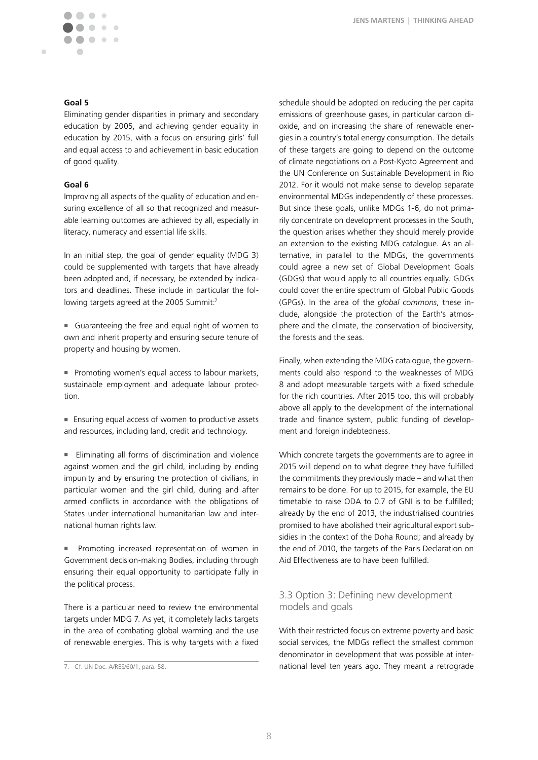### **Goal 5**

Eliminating gender disparities in primary and secondary education by 2005, and achieving gender equality in education by 2015, with a focus on ensuring girls' full and equal access to and achievement in basic education of good quality.

#### **Goal 6**

Improving all aspects of the quality of education and ensuring excellence of all so that recognized and measurable learning outcomes are achieved by all, especially in literacy, numeracy and essential life skills.

In an initial step, the goal of gender equality (MDG 3) could be supplemented with targets that have already been adopted and, if necessary, be extended by indicators and deadlines. These include in particular the following targets agreed at the 2005 Summit:7

■ Guaranteeing the free and equal right of women to own and inherit property and ensuring secure tenure of property and housing by women.

■ Promoting women's equal access to labour markets, sustainable employment and adequate labour protection.

■ Ensuring equal access of women to productive assets and resources, including land, credit and technology.

Eliminating all forms of discrimination and violence against women and the girl child, including by ending impunity and by ensuring the protection of civilians, in particular women and the girl child, during and after armed conflicts in accordance with the obligations of States under international humanitarian law and international human rights law.

**Promoting increased representation of women in** Government decision-making Bodies, including through ensuring their equal opportunity to participate fully in the political process.

There is a particular need to review the environmental targets under MDG 7. As yet, it completely lacks targets in the area of combating global warming and the use of renewable energies. This is why targets with a fixed

schedule should be adopted on reducing the per capita emissions of greenhouse gases, in particular carbon dioxide, and on increasing the share of renewable energies in a country's total energy consumption. The details of these targets are going to depend on the outcome of climate negotiations on a Post-Kyoto Agreement and the UN Conference on Sustainable Development in Rio 2012. For it would not make sense to develop separate environmental MDGs independently of these processes. But since these goals, unlike MDGs 1-6, do not primarily concentrate on development processes in the South, the question arises whether they should merely provide an extension to the existing MDG catalogue. As an alternative, in parallel to the MDGs, the governments could agree a new set of Global Development Goals (GDGs) that would apply to all countries equally. GDGs could cover the entire spectrum of Global Public Goods (GPGs). In the area of the *global commons*, these include, alongside the protection of the Earth's atmosphere and the climate, the conservation of biodiversity, the forests and the seas.

Finally, when extending the MDG catalogue, the governments could also respond to the weaknesses of MDG 8 and adopt measurable targets with a fixed schedule for the rich countries. After 2015 too, this will probably above all apply to the development of the international trade and finance system, public funding of development and foreign indebtedness.

Which concrete targets the governments are to agree in 2015 will depend on to what degree they have fulfilled the commitments they previously made – and what then remains to be done. For up to 2015, for example, the EU timetable to raise ODA to 0.7 of GNI is to be fulfilled; already by the end of 2013, the industrialised countries promised to have abolished their agricultural export subsidies in the context of the Doha Round; and already by the end of 2010, the targets of the Paris Declaration on Aid Effectiveness are to have been fulfilled.

# 3.3 Option 3: Defining new development models and goals

With their restricted focus on extreme poverty and basic social services, the MDGs reflect the smallest common denominator in development that was possible at international level ten years ago. They meant a retrograde

<sup>7.</sup> Cf. UN Doc. A/RES/60/1, para. 58.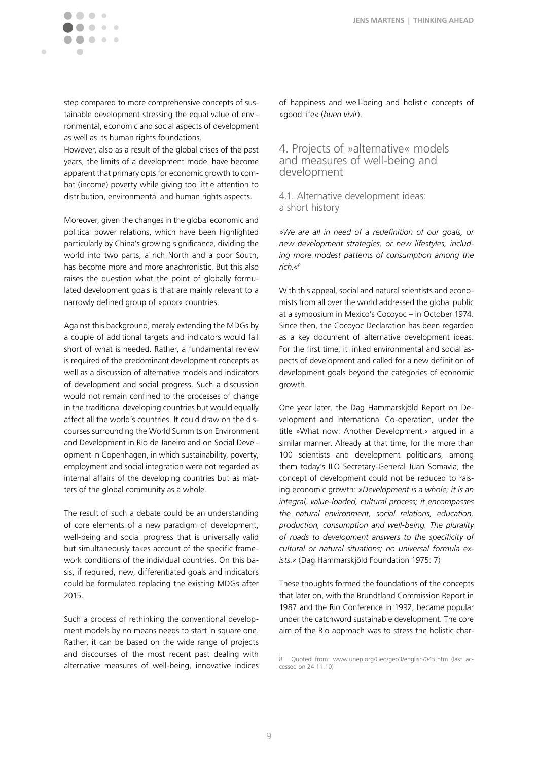$\blacksquare$  $\bullet$  $\bullet$   $\bullet$  $\bullet\bullet\bullet$ 

Ċ

step compared to more comprehensive concepts of sustainable development stressing the equal value of environmental, economic and social aspects of development as well as its human rights foundations.

However, also as a result of the global crises of the past years, the limits of a development model have become apparent that primary opts for economic growth to combat (income) poverty while giving too little attention to distribution, environmental and human rights aspects.

Moreover, given the changes in the global economic and political power relations, which have been highlighted particularly by China's growing significance, dividing the world into two parts, a rich North and a poor South, has become more and more anachronistic. But this also raises the question what the point of globally formulated development goals is that are mainly relevant to a narrowly defined group of »poor« countries.

Against this background, merely extending the MDGs by a couple of additional targets and indicators would fall short of what is needed. Rather, a fundamental review is required of the predominant development concepts as well as a discussion of alternative models and indicators of development and social progress. Such a discussion would not remain confined to the processes of change in the traditional developing countries but would equally affect all the world's countries. It could draw on the discourses surrounding the World Summits on Environment and Development in Rio de Janeiro and on Social Development in Copenhagen, in which sustainability, poverty, employment and social integration were not regarded as internal affairs of the developing countries but as matters of the global community as a whole.

The result of such a debate could be an understanding of core elements of a new paradigm of development, well-being and social progress that is universally valid but simultaneously takes account of the specific framework conditions of the individual countries. On this basis, if required, new, differentiated goals and indicators could be formulated replacing the existing MDGs after 2015.

Such a process of rethinking the conventional development models by no means needs to start in square one. Rather, it can be based on the wide range of projects and discourses of the most recent past dealing with alternative measures of well-being, innovative indices of happiness and well-being and holistic concepts of »good life« (*buen vivir*).

# 4. Projects of »alternative« models and measures of well-being and development

4.1. Alternative development ideas: a short history

*»We are all in need of a redefinition of our goals, or new development strategies, or new lifestyles, including more modest patterns of consumption among the rich.«8*

With this appeal, social and natural scientists and economists from all over the world addressed the global public at a symposium in Mexico's Cocoyoc – in October 1974. Since then, the Cocoyoc Declaration has been regarded as a key document of alternative development ideas. For the first time, it linked environmental and social aspects of development and called for a new definition of development goals beyond the categories of economic growth.

One year later, the Dag Hammarskjöld Report on Development and International Co-operation, under the title »What now: Another Development.« argued in a similar manner. Already at that time, for the more than 100 scientists and development politicians, among them today's ILO Secretary-General Juan Somavia, the concept of development could not be reduced to raising economic growth: *»Development is a whole; it is an integral, value-loaded, cultural process; it encompasses the natural environment, social relations, education, production, consumption and well-being. The plurality of roads to development answers to the specificity of cultural or natural situations; no universal formula exists.«* (Dag Hammarskjöld Foundation 1975: 7)

These thoughts formed the foundations of the concepts that later on, with the Brundtland Commission Report in 1987 and the Rio Conference in 1992, became popular under the catchword sustainable development. The core aim of the Rio approach was to stress the holistic char-

<sup>8.</sup> Quoted from: www.unep.org/Geo/geo3/english/045.htm (last accessed on 24.11.10)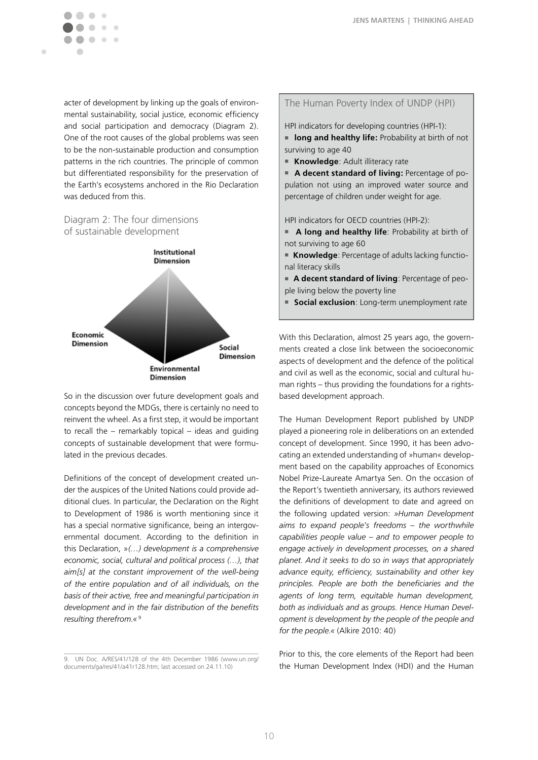acter of development by linking up the goals of environmental sustainability, social justice, economic efficiency and social participation and democracy (Diagram 2). One of the root causes of the global problems was seen to be the non-sustainable production and consumption patterns in the rich countries. The principle of common but differentiated responsibility for the preservation of the Earth's ecosystems anchored in the Rio Declaration was deduced from this.

# Diagram 2: The four dimensions of sustainable development

 $\sim$ 

 $\blacksquare$ 



So in the discussion over future development goals and concepts beyond the MDGs, there is certainly no need to reinvent the wheel. As a first step, it would be important to recall the – remarkably topical – ideas and guiding concepts of sustainable development that were formulated in the previous decades.

Definitions of the concept of development created under the auspices of the United Nations could provide additional clues. In particular, the Declaration on the Right to Development of 1986 is worth mentioning since it has a special normative significance, being an intergovernmental document. According to the definition in this Declaration, »*(…) development is a comprehensive economic, social, cultural and political process (…), that aim[s] at the constant improvement of the well-being of the entire population and of all individuals, on the basis of their active, free and meaningful participation in development and in the fair distribution of the benefits resulting therefrom.«* <sup>9</sup>

#### The Human Poverty Index of UNDP (HPI)

HPI indicators for developing countries (HPI-1):

**n** long and healthy life: Probability at birth of not surviving to age 40

**Knowledge: Adult illiteracy rate** 

**A decent standard of living: Percentage of po**pulation not using an improved water source and percentage of children under weight for age.

HPI indicators for OECD countries (HPI-2):

- **A long and healthy life**: Probability at birth of not surviving to age 60
- **Knowledge**: Percentage of adults lacking functional literacy skills
- **A decent standard of living**: Percentage of people living below the poverty line
- **5 Social exclusion**: Long-term unemployment rate

With this Declaration, almost 25 years ago, the governments created a close link between the socioeconomic aspects of development and the defence of the political and civil as well as the economic, social and cultural human rights – thus providing the foundations for a rightsbased development approach.

The Human Development Report published by UNDP played a pioneering role in deliberations on an extended concept of development. Since 1990, it has been advocating an extended understanding of »human« development based on the capability approaches of Economics Nobel Prize-Laureate Amartya Sen. On the occasion of the Report's twentieth anniversary, its authors reviewed the definitions of development to date and agreed on the following updated version: *»Human Development aims to expand people's freedoms – the worthwhile capabilities people value – and to empower people to engage actively in development processes, on a shared planet. And it seeks to do so in ways that appropriately advance equity, efficiency, sustainability and other key principles. People are both the beneficiaries and the agents of long term, equitable human development, both as individuals and as groups. Hence Human Development is development by the people of the people and for the people.«* (Alkire 2010: 40)

Prior to this, the core elements of the Report had been the Human Development Index (HDI) and the Human

<sup>9.</sup> UN Doc. A/RES/41/128 of the 4th December 1986 (www.un.org/ documents/ga/res/41/a41r128.htm; last accessed on 24.11.10)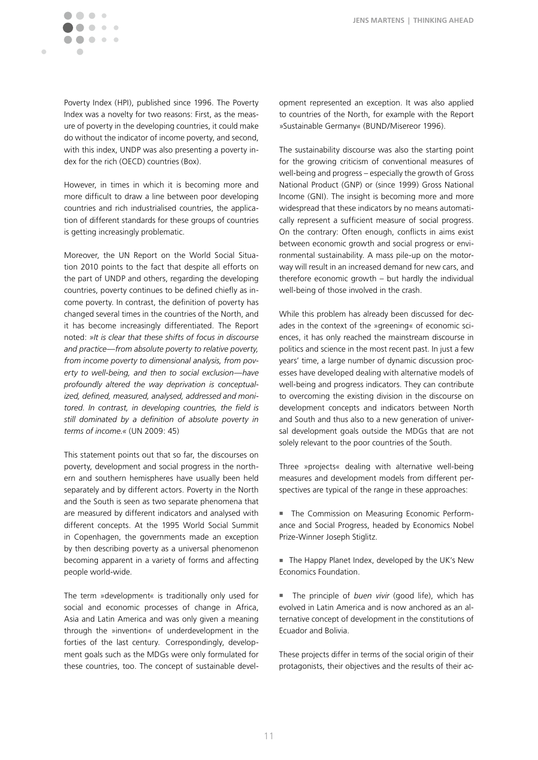

Poverty Index (HPI), published since 1996. The Poverty Index was a novelty for two reasons: First, as the measure of poverty in the developing countries, it could make do without the indicator of income poverty, and second, with this index, UNDP was also presenting a poverty index for the rich (OECD) countries (Box).

However, in times in which it is becoming more and more difficult to draw a line between poor developing countries and rich industrialised countries, the application of different standards for these groups of countries is getting increasingly problematic.

Moreover, the UN Report on the World Social Situation 2010 points to the fact that despite all efforts on the part of UNDP and others, regarding the developing countries, poverty continues to be defined chiefly as income poverty. In contrast, the definition of poverty has changed several times in the countries of the North, and it has become increasingly differentiated. The Report noted: *»It is clear that these shifts of focus in discourse and practice—from absolute poverty to relative poverty, from income poverty to dimensional analysis, from poverty to well-being, and then to social exclusion—have profoundly altered the way deprivation is conceptualized, defined, measured, analysed, addressed and monitored. In contrast, in developing countries, the field is still dominated by a definition of absolute poverty in terms of income.«* (UN 2009: 45)

This statement points out that so far, the discourses on poverty, development and social progress in the northern and southern hemispheres have usually been held separately and by different actors. Poverty in the North and the South is seen as two separate phenomena that are measured by different indicators and analysed with different concepts. At the 1995 World Social Summit in Copenhagen, the governments made an exception by then describing poverty as a universal phenomenon becoming apparent in a variety of forms and affecting people world-wide.

The term »development« is traditionally only used for social and economic processes of change in Africa, Asia and Latin America and was only given a meaning through the »invention« of underdevelopment in the forties of the last century. Correspondingly, development goals such as the MDGs were only formulated for these countries, too. The concept of sustainable development represented an exception. It was also applied to countries of the North, for example with the Report »Sustainable Germany« (BUND/Misereor 1996).

The sustainability discourse was also the starting point for the growing criticism of conventional measures of well-being and progress – especially the growth of Gross National Product (GNP) or (since 1999) Gross National Income (GNI). The insight is becoming more and more widespread that these indicators by no means automatically represent a sufficient measure of social progress. On the contrary: Often enough, conflicts in aims exist between economic growth and social progress or environmental sustainability. A mass pile-up on the motorway will result in an increased demand for new cars, and therefore economic growth – but hardly the individual well-being of those involved in the crash.

While this problem has already been discussed for decades in the context of the »greening« of economic sciences, it has only reached the mainstream discourse in politics and science in the most recent past. In just a few years' time, a large number of dynamic discussion processes have developed dealing with alternative models of well-being and progress indicators. They can contribute to overcoming the existing division in the discourse on development concepts and indicators between North and South and thus also to a new generation of universal development goals outside the MDGs that are not solely relevant to the poor countries of the South.

Three »projects« dealing with alternative well-being measures and development models from different perspectives are typical of the range in these approaches:

 $\blacksquare$  The Commission on Measuring Economic Performance and Social Progress, headed by Economics Nobel Prize-Winner Joseph Stiglitz.

The Happy Planet Index, developed by the UK's New Economics Foundation.

The principle of *buen vivir* (good life), which has evolved in Latin America and is now anchored as an alternative concept of development in the constitutions of Ecuador and Bolivia.

These projects differ in terms of the social origin of their protagonists, their objectives and the results of their ac-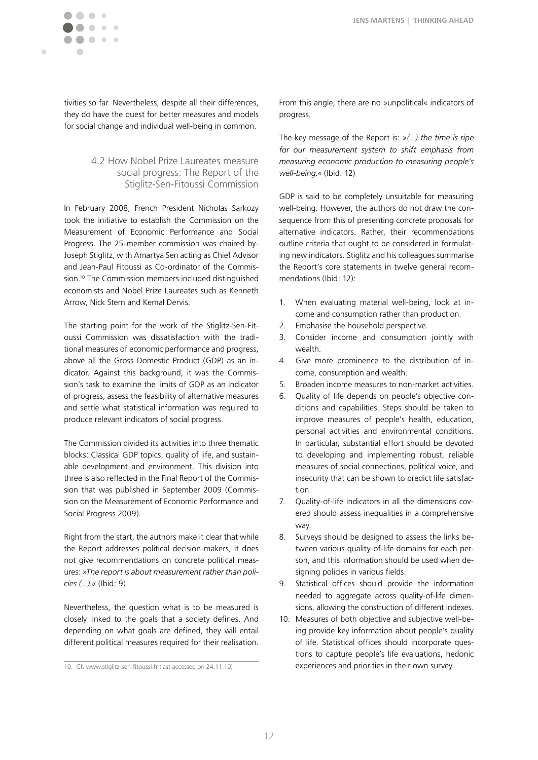

tivities so far. Nevertheless, despite all their differences, they do have the quest for better measures and models for social change and individual well-being in common.

## 4.2 How Nobel Prize Laureates measure social progress: The Report of the Stiglitz-Sen-Fitoussi Commission

In February 2008, French President Nicholas Sarkozy took the initiative to establish the Commission on the Measurement of Economic Performance and Social Progress. The 25-member commission was chaired by-Joseph Stiglitz, with Amartya Sen acting as Chief Advisor and Jean-Paul Fitoussi as Co-ordinator of the Commission.10 The Commission members included distinguished economists and Nobel Prize Laureates such as Kenneth Arrow, Nick Stern and Kemal Dervis.

The starting point for the work of the Stiglitz-Sen-Fitoussi Commission was dissatisfaction with the traditional measures of economic performance and progress, above all the Gross Domestic Product (GDP) as an indicator. Against this background, it was the Commission's task to examine the limits of GDP as an indicator of progress, assess the feasibility of alternative measures and settle what statistical information was required to produce relevant indicators of social progress.

The Commission divided its activities into three thematic blocks: Classical GDP topics, quality of life, and sustainable development and environment. This division into three is also reflected in the Final Report of the Commission that was published in September 2009 (Commission on the Measurement of Economic Performance and Social Progress 2009).

Right from the start, the authors make it clear that while the Report addresses political decision-makers, it does not give recommendations on concrete political measures: *»The report is about measurement rather than policies (...).«* (Ibid: 9)

Nevertheless, the question what is to be measured is closely linked to the goals that a society defines. And depending on what goals are defined, they will entail different political measures required for their realisation.

10. Cf. www.stiglitz-sen-fitoussi.fr (last accessed on 24.11.10)

From this angle, there are no »unpolitical« indicators of progress.

The key message of the Report is: *»(...) the time is ripe for our measurement system to shift emphasis from measuring economic production to measuring people's well-being.«* (Ibid: 12)

GDP is said to be completely unsuitable for measuring well-being. However, the authors do not draw the consequence from this of presenting concrete proposals for alternative indicators. Rather, their recommendations outline criteria that ought to be considered in formulating new indicators. Stiglitz and his colleagues summarise the Report's core statements in twelve general recommendations (Ibid: 12):

- 1. When evaluating material well-being, look at income and consumption rather than production.
- 2. Emphasise the household perspective.
- 3. Consider income and consumption jointly with wealth.
- 4. Give more prominence to the distribution of income, consumption and wealth.
- 5. Broaden income measures to non-market activities.
- 6. Quality of life depends on people's objective conditions and capabilities. Steps should be taken to improve measures of people's health, education, personal activities and environmental conditions. In particular, substantial effort should be devoted to developing and implementing robust, reliable measures of social connections, political voice, and insecurity that can be shown to predict life satisfaction.
- 7. Quality-of-life indicators in all the dimensions covered should assess inequalities in a comprehensive way.
- 8. Surveys should be designed to assess the links between various quality-of-life domains for each person, and this information should be used when designing policies in various fields.
- 9. Statistical offices should provide the information needed to aggregate across quality-of-life dimensions, allowing the construction of different indexes.
- 10. Measures of both objective and subjective well-being provide key information about people's quality of life. Statistical offices should incorporate questions to capture people's life evaluations, hedonic experiences and priorities in their own survey.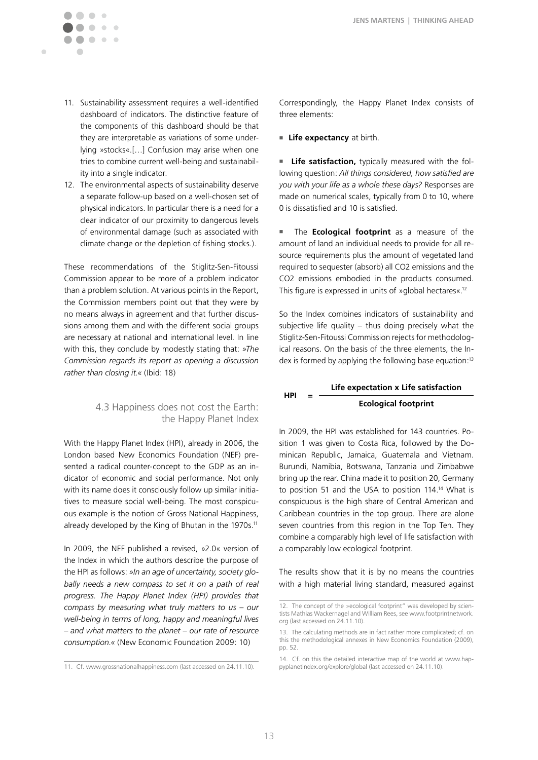11. Sustainability assessment requires a well-identified dashboard of indicators. The distinctive feature of the components of this dashboard should be that they are interpretable as variations of some underlying »stocks«.[…] Confusion may arise when one tries to combine current well-being and sustainability into a single indicator.

 $\bigcirc$  $\begin{array}{c} \begin{array}{c} \begin{array}{c} \end{array} \end{array} \end{array}$  $\begin{array}{c} \bullet \\ \bullet \end{array}$  $\bullet$ 

 $\triangle$  $\mathcal{L} = \mathcal{L}$ 

 $\blacksquare$ 

12. The environmental aspects of sustainability deserve a separate follow-up based on a well-chosen set of physical indicators. In particular there is a need for a clear indicator of our proximity to dangerous levels of environmental damage (such as associated with climate change or the depletion of fishing stocks.).

These recommendations of the Stiglitz-Sen-Fitoussi Commission appear to be more of a problem indicator than a problem solution. At various points in the Report, the Commission members point out that they were by no means always in agreement and that further discussions among them and with the different social groups are necessary at national and international level. In line with this, they conclude by modestly stating that: *»The Commission regards its report as opening a discussion rather than closing it.«* (Ibid: 18)

#### 4.3 Happiness does not cost the Earth: the Happy Planet Index

With the Happy Planet Index (HPI), already in 2006, the London based New Economics Foundation (NEF) presented a radical counter-concept to the GDP as an indicator of economic and social performance. Not only with its name does it consciously follow up similar initiatives to measure social well-being. The most conspicuous example is the notion of Gross National Happiness, already developed by the King of Bhutan in the 1970s.<sup>11</sup>

In 2009, the NEF published a revised, »2.0« version of the Index in which the authors describe the purpose of the HPI as follows: *»In an age of uncertainty, society globally needs a new compass to set it on a path of real progress. The Happy Planet Index (HPI) provides that compass by measuring what truly matters to us – our well-being in terms of long, happy and meaningful lives – and what matters to the planet – our rate of resource consumption.«* (New Economic Foundation 2009: 10)

Correspondingly, the Happy Planet Index consists of three elements:

#### **Life expectancy** at birth.

Life satisfaction, typically measured with the following question: *All things considered, how satisfied are you with your life as a whole these days?* Responses are made on numerical scales, typically from 0 to 10, where 0 is dissatisfied and 10 is satisfied.

**n** The **Ecological footprint** as a measure of the amount of land an individual needs to provide for all resource requirements plus the amount of vegetated land required to sequester (absorb) all CO2 emissions and the CO2 emissions embodied in the products consumed. This figure is expressed in units of »global hectares«.12

So the Index combines indicators of sustainability and subjective life quality – thus doing precisely what the Stiglitz-Sen-Fitoussi Commission rejects for methodological reasons. On the basis of the three elements, the Index is formed by applying the following base equation:<sup>13</sup>

#### **HPI = Life expectation x Life satisfaction Ecological footprint**

In 2009, the HPI was established for 143 countries. Position 1 was given to Costa Rica, followed by the Dominican Republic, Jamaica, Guatemala and Vietnam. Burundi, Namibia, Botswana, Tanzania und Zimbabwe bring up the rear. China made it to position 20, Germany to position 51 and the USA to position 114.14 What is conspicuous is the high share of Central American and Caribbean countries in the top group. There are alone seven countries from this region in the Top Ten. They combine a comparably high level of life satisfaction with a comparably low ecological footprint.

The results show that it is by no means the countries with a high material living standard, measured against

<sup>11.</sup> Cf. www.grossnationalhappiness.com (last accessed on 24.11.10).

<sup>12.</sup> The concept of the »ecological footprint" was developed by scientists Mathias Wackernagel and William Rees, see www.footprintnetwork. org (last accessed on 24.11.10).

<sup>13.</sup> The calculating methods are in fact rather more complicated; cf. on this the methodological annexes in New Economics Foundation (2009), pp. 52.

<sup>14.</sup> Cf. on this the detailed interactive map of the world at www.happyplanetindex.org/explore/global (last accessed on 24.11.10).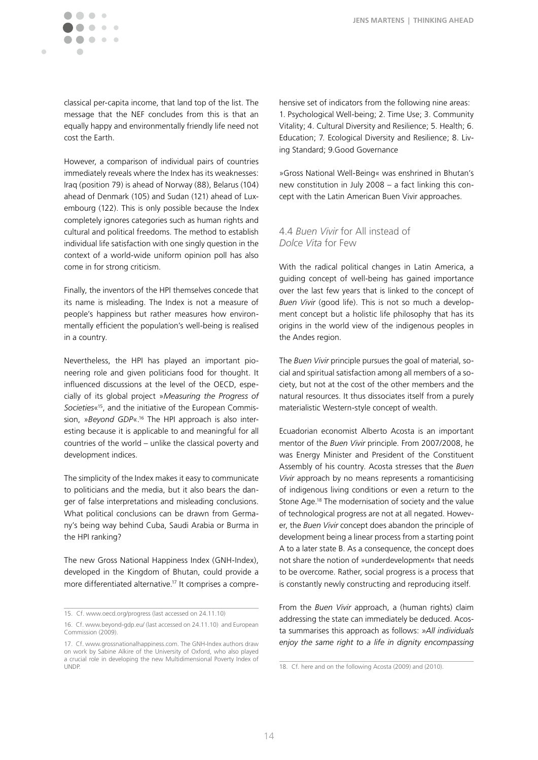classical per-capita income, that land top of the list. The message that the NEF concludes from this is that an equally happy and environmentally friendly life need not cost the Earth.

However, a comparison of individual pairs of countries immediately reveals where the Index has its weaknesses: Iraq (position 79) is ahead of Norway (88), Belarus (104) ahead of Denmark (105) and Sudan (121) ahead of Luxembourg (122). This is only possible because the Index completely ignores categories such as human rights and cultural and political freedoms. The method to establish individual life satisfaction with one singly question in the context of a world-wide uniform opinion poll has also come in for strong criticism.

Finally, the inventors of the HPI themselves concede that its name is misleading. The Index is not a measure of people's happiness but rather measures how environmentally efficient the population's well-being is realised in a country.

Nevertheless, the HPI has played an important pioneering role and given politicians food for thought. It influenced discussions at the level of the OECD, especially of its global project »*Measuring the Progress of Societies*«15, and the initiative of the European Commission, »*Beyond GDP*«.16 The HPI approach is also interesting because it is applicable to and meaningful for all countries of the world – unlike the classical poverty and development indices.

The simplicity of the Index makes it easy to communicate to politicians and the media, but it also bears the danger of false interpretations and misleading conclusions. What political conclusions can be drawn from Germany's being way behind Cuba, Saudi Arabia or Burma in the HPI ranking?

The new Gross National Happiness Index (GNH-Index), developed in the Kingdom of Bhutan, could provide a more differentiated alternative.17 It comprises a comprehensive set of indicators from the following nine areas: 1. Psychological Well-being; 2. Time Use; 3. Community Vitality; 4. Cultural Diversity and Resilience; 5. Health; 6. Education; 7. Ecological Diversity and Resilience; 8. Living Standard; 9.Good Governance

»Gross National Well-Being« was enshrined in Bhutan's new constitution in July 2008 – a fact linking this concept with the Latin American Buen Vivir approaches.

# 4.4 *Buen Vivir* for All instead of *Dolce Vita* for Few

With the radical political changes in Latin America, a guiding concept of well-being has gained importance over the last few years that is linked to the concept of *Buen Vivir* (good life). This is not so much a development concept but a holistic life philosophy that has its origins in the world view of the indigenous peoples in the Andes region.

The *Buen Vivir* principle pursues the goal of material, social and spiritual satisfaction among all members of a society, but not at the cost of the other members and the natural resources. It thus dissociates itself from a purely materialistic Western-style concept of wealth.

Ecuadorian economist Alberto Acosta is an important mentor of the *Buen Vivir* principle. From 2007/2008, he was Energy Minister and President of the Constituent Assembly of his country. Acosta stresses that the *Buen Vivir* approach by no means represents a romanticising of indigenous living conditions or even a return to the Stone Age.18 The modernisation of society and the value of technological progress are not at all negated. However, the *Buen Vivir* concept does abandon the principle of development being a linear process from a starting point A to a later state B. As a consequence, the concept does not share the notion of »underdevelopment« that needs to be overcome. Rather, social progress is a process that is constantly newly constructing and reproducing itself.

From the *Buen Vivir* approach, a (human rights) claim addressing the state can immediately be deduced. Acosta summarises this approach as follows: *»All individuals enjoy the same right to a life in dignity encompassing* 

<sup>15.</sup> Cf. www.oecd.org/progress (last accessed on 24.11.10)

<sup>16.</sup> Cf. www.beyond-gdp.eu/ (last accessed on 24.11.10) and European Commission (2009).

<sup>17.</sup> Cf. www.grossnationalhappiness.com. The GNH-Index authors draw on work by Sabine Alkire of the University of Oxford, who also played a crucial role in developing the new Multidimensional Poverty Index of UNDP.

<sup>18.</sup> Cf. here and on the following Acosta (2009) and (2010).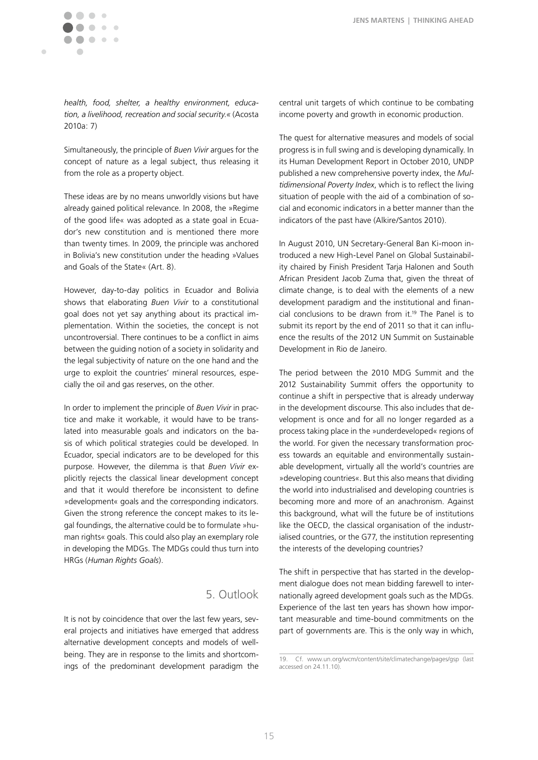**JENS MARTENS | THINKING AHEAD**

*health, food, shelter, a healthy environment, education, a livelihood, recreation and social security.«* (Acosta 2010a: 7)

Simultaneously, the principle of *Buen Vivir* argues for the concept of nature as a legal subject, thus releasing it from the role as a property object.

These ideas are by no means unworldly visions but have already gained political relevance. In 2008, the »Regime of the good life« was adopted as a state goal in Ecuador's new constitution and is mentioned there more than twenty times. In 2009, the principle was anchored in Bolivia's new constitution under the heading »Values and Goals of the State« (Art. 8).

However, day-to-day politics in Ecuador and Bolivia shows that elaborating *Buen Vivir* to a constitutional goal does not yet say anything about its practical implementation. Within the societies, the concept is not uncontroversial. There continues to be a conflict in aims between the guiding notion of a society in solidarity and the legal subjectivity of nature on the one hand and the urge to exploit the countries' mineral resources, especially the oil and gas reserves, on the other.

In order to implement the principle of *Buen Vivir* in practice and make it workable, it would have to be translated into measurable goals and indicators on the basis of which political strategies could be developed. In Ecuador, special indicators are to be developed for this purpose. However, the dilemma is that *Buen Vivir* explicitly rejects the classical linear development concept and that it would therefore be inconsistent to define »development« goals and the corresponding indicators. Given the strong reference the concept makes to its legal foundings, the alternative could be to formulate »human rights« goals. This could also play an exemplary role in developing the MDGs. The MDGs could thus turn into HRGs (*Human Rights Goals*).

# 5. Outlook

It is not by coincidence that over the last few years, several projects and initiatives have emerged that address alternative development concepts and models of wellbeing. They are in response to the limits and shortcomings of the predominant development paradigm the central unit targets of which continue to be combating income poverty and growth in economic production.

The quest for alternative measures and models of social progress is in full swing and is developing dynamically. In its Human Development Report in October 2010, UNDP published a new comprehensive poverty index, the *Multidimensional Poverty Index*, which is to reflect the living situation of people with the aid of a combination of social and economic indicators in a better manner than the indicators of the past have (Alkire/Santos 2010).

In August 2010, UN Secretary-General Ban Ki-moon introduced a new High-Level Panel on Global Sustainability chaired by Finish President Tarja Halonen and South African President Jacob Zuma that, given the threat of climate change, is to deal with the elements of a new development paradigm and the institutional and financial conclusions to be drawn from  $it.^{19}$  The Panel is to submit its report by the end of 2011 so that it can influence the results of the 2012 UN Summit on Sustainable Development in Rio de Janeiro.

The period between the 2010 MDG Summit and the 2012 Sustainability Summit offers the opportunity to continue a shift in perspective that is already underway in the development discourse. This also includes that development is once and for all no longer regarded as a process taking place in the »underdeveloped« regions of the world. For given the necessary transformation process towards an equitable and environmentally sustainable development, virtually all the world's countries are »developing countries«. But this also means that dividing the world into industrialised and developing countries is becoming more and more of an anachronism. Against this background, what will the future be of institutions like the OECD, the classical organisation of the industrialised countries, or the G77, the institution representing the interests of the developing countries?

The shift in perspective that has started in the development dialogue does not mean bidding farewell to internationally agreed development goals such as the MDGs. Experience of the last ten years has shown how important measurable and time-bound commitments on the part of governments are. This is the only way in which,

<sup>19.</sup> Cf. www.un.org/wcm/content/site/climatechange/pages/gsp (last accessed on 24.11.10).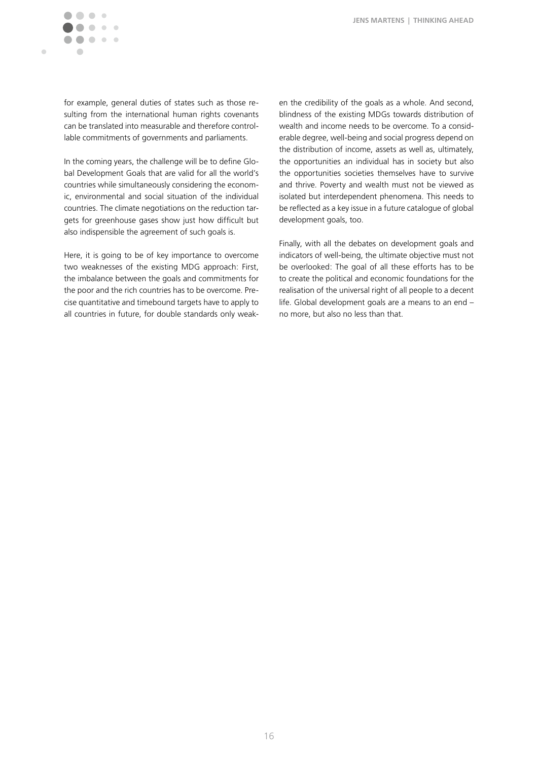

for example, general duties of states such as those resulting from the international human rights covenants can be translated into measurable and therefore controllable commitments of governments and parliaments.

In the coming years, the challenge will be to define Global Development Goals that are valid for all the world's countries while simultaneously considering the economic, environmental and social situation of the individual countries. The climate negotiations on the reduction targets for greenhouse gases show just how difficult but also indispensible the agreement of such goals is.

Here, it is going to be of key importance to overcome two weaknesses of the existing MDG approach: First, the imbalance between the goals and commitments for the poor and the rich countries has to be overcome. Precise quantitative and timebound targets have to apply to all countries in future, for double standards only weaken the credibility of the goals as a whole. And second, blindness of the existing MDGs towards distribution of wealth and income needs to be overcome. To a considerable degree, well-being and social progress depend on the distribution of income, assets as well as, ultimately, the opportunities an individual has in society but also the opportunities societies themselves have to survive and thrive. Poverty and wealth must not be viewed as isolated but interdependent phenomena. This needs to be reflected as a key issue in a future catalogue of global development goals, too.

Finally, with all the debates on development goals and indicators of well-being, the ultimate objective must not be overlooked: The goal of all these efforts has to be to create the political and economic foundations for the realisation of the universal right of all people to a decent life. Global development goals are a means to an end – no more, but also no less than that.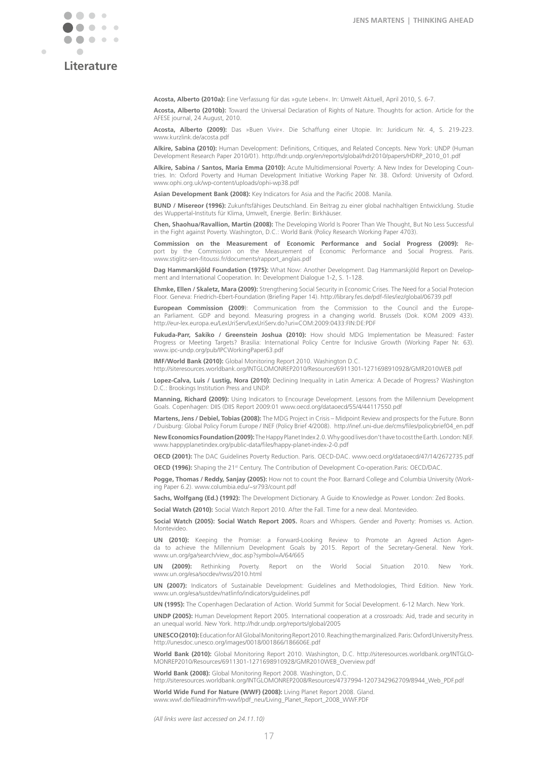

# **Literature**

**Acosta, Alberto (2010a):** Eine Verfassung für das »gute Leben«. In: Umwelt Aktuell, April 2010, S. 6-7.

**Acosta, Alberto (2010b):** Toward the Universal Declaration of Rights of Nature. Thoughts for action. Article for the AFESE journal, 24 August, 2010.

**Acosta, Alberto (2009):** Das »Buen Vivir«. Die Schaffung einer Utopie. In: Juridicum Nr. 4, S. 219-223. www.kurzlink.de/acosta.pdf

**Alkire, Sabina (2010):** Human Development: Definitions, Critiques, and Related Concepts. New York: UNDP (Human Development Research Paper 2010/01). http://hdr.undp.org/en/reports/global/hdr2010/papers/HDRP\_2010\_01.pdf

**Alkire, Sabina / Santos, Maria Emma (2010):** Acute Multidimensional Poverty: A New Index for Developing Countries. In: Oxford Poverty and Human Development Initiative Working Paper Nr. 38. Oxford: University of Oxford. www.ophi.org.uk/wp-content/uploads/ophi-wp38.pdf

**Asian Development Bank (2008):** Key Indicators for Asia and the Pacific 2008. Manila.

**BUND / Misereor (1996):** Zukunftsfähiges Deutschland. Ein Beitrag zu einer global nachhaltigen Entwicklung. Studie des Wuppertal-Instituts für Klima, Umwelt, Energie. Berlin: Birkhäuser.

**Chen, Shaohua/Ravallion, Martin (2008):** The Developing World Is Poorer Than We Thought, But No Less Successful in the Fight against Poverty. Washington, D.C.: World Bank (Policy Research Working Paper 4703).

**Commission on the Measurement of Economic Performance and Social Progress (2009):** Report by the Commission on the Measurement of Economic Performance and Social Progress. Paris. www.stiglitz-sen-fitoussi.fr/documents/rapport\_anglais.pdf

**Dag Hammarskjöld Foundation (1975):** What Now: Another Development. Dag Hammarskjöld Report on Development and International Cooperation. In: Development Dialogue 1-2, S. 1-128.

**Ehmke, Ellen / Skaletz, Mara (2009):** Strengthening Social Security in Economic Crises. The Need for a Social Protecion Floor. Geneva: Friedrich-Ebert-Foundation (Briefing Paper 14). http://library.fes.de/pdf-files/iez/global/06739.pdf

**European Commission (2009**): Communication from the Commission to the Council and the European Parliament. GDP and beyond. Measuring progress in a changing world. Brussels (Dok. KOM 2009 433). http://eur-lex.europa.eu/LexUriServ/LexUriServ.do?uri=COM:2009:0433:FIN:DE:PDF

**Fukuda-Parr, Sakiko / Greenstein Joshua (2010):** How should MDG Implementation be Measured: Faster Progress or Meeting Targets? Brasilia: International Policy Centre for Inclusive Growth (Working Paper Nr. 63). www.ipc-undp.org/pub/IPCWorkingPaper63.pdf

**IMF/World Bank (2010):** Global Monitoring Report 2010. Washington D.C.

http://siteresources.worldbank.org/INTGLOMONREP2010/Resources/6911301-1271698910928/GMR2010WEB.pdf

**Lopez-Calva, Luis / Lustig, Nora (2010):** Declining Inequality in Latin America: A Decade of Progress? Washington D.C.: Brookings Institution Press and UNDP.

**Manning, Richard (2009):** Using Indicators to Encourage Development. Lessons from the Millennium Development Goals. Copenhagen: DIIS (DIIS Report 2009:01 www.oecd.org/dataoecd/55/4/44117550.pdf

**Martens, Jens / Debiel, Tobias (2008):** The MDG Project in Crisis – Midpoint Review and prospects for the Future. Bonn / Duisburg: Global Policy Forum Europe / INEF (Policy Brief 4/2008). http://inef.uni-due.de/cms/files/policybrief04\_en.pdf

**New Economics Foundation (2009):** The Happy Planet Index 2.0. Why good lives don't have to cost the Earth. London: NEF. www.happyplanetindex.org/public-data/files/happy-planet-index-2-0.pdf

**OECD (2001):** The DAC Guidelines Poverty Reduction. Paris. OECD-DAC. www.oecd.org/dataoecd/47/14/2672735.pdf

**OECD (1996):** Shaping the 21<sup>st</sup> Century. The Contribution of Development Co-operation.Paris: OECD/DAC

**Pogge, Thomas / Reddy, Sanjay (2005):** How not to count the Poor. Barnard College and Columbia University (Working Paper 6.2). www.columbia.edu/~sr793/count.pdf

**Sachs, Wolfgang (Ed.) (1992):** The Development Dictionary. A Guide to Knowledge as Power. London: Zed Books.

**Social Watch (2010):** Social Watch Report 2010. After the Fall. Time for a new deal. Montevideo.

**Social Watch (2005): Social Watch Report 2005.** Roars and Whispers. Gender and Poverty: Promises vs. Action. Montevideo

**UN (2010):** Keeping the Promise: a Forward-Looking Review to Promote an Agreed Action Agenda to achieve the Millennium Development Goals by 2015. Report of the Secretary-General. New York. www.un.org/ga/search/view\_doc.asp?symbol=A/64/665

**UN (2009):** Rethinking Poverty. Report on the World Social Situation 2010. New York. www.un.org/esa/socdev/rwss/2010.html

**UN (2007):** Indicators of Sustainable Development: Guidelines and Methodologies, Third Edition. New York. www.un.org/esa/sustdev/natlinfo/indicators/guidelines.pdf

**UN (1995):** The Copenhagen Declaration of Action. World Summit for Social Development. 6-12 March. New York.

**UNDP (2005):** Human Development Report 2005. International cooperation at a crossroads: Aid, trade and security in an unequal world. New York. http://hdr.undp.org/reports/global/2005

**UNESCO (2010):** Education for All Global Monitoring Report 2010. Reaching the marginalized. Paris: Oxford University Press. http://unesdoc.unesco.org/images/0018/001866/186606E.pdf

**World Bank (2010):** Global Monitoring Report 2010. Washington, D.C. http://siteresources.worldbank.org/INTGLO-MONREP2010/Resources/6911301-1271698910928/GMR2010WEB\_Overview.pdf

**World Bank (2008):** Global Monitoring Report 2008. Washington, D.C.

http://siteresources.worldbank.org/INTGLOMONREP2008/Resources/4737994-1207342962709/8944\_Web\_PDF.pdf

**World Wide Fund For Nature (WWF) (2008):** Living Planet Report 2008. Gland. www.wwf.de/fileadmin/fm-wwf/pdf\_neu/Living\_Planet\_Report\_2008\_WWF.PDF

*(All links were last accessed on 24.11.10)*